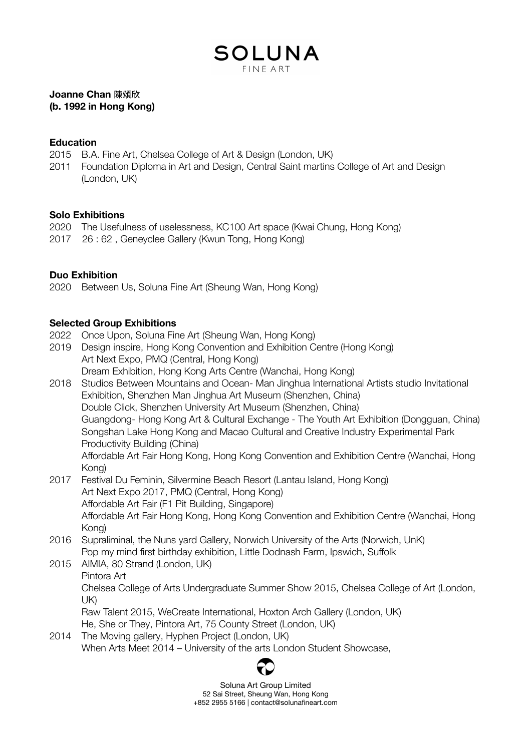## SOLUNA FINE ART

#### **Joanne Chan** 陳頌欣 **(b. 1992 in Hong Kong)**

#### **Education**

- 2015 B.A. Fine Art, Chelsea College of Art & Design (London, UK)
- 2011 Foundation Diploma in Art and Design, Central Saint martins College of Art and Design (London, UK)

### **Solo Exhibitions**

- 2020 The Usefulness of uselessness, KC100 Art space (Kwai Chung, Hong Kong)
- 2017 26 : 62 , Geneyclee Gallery (Kwun Tong, Hong Kong)

### **Duo Exhibition**

2020 Between Us, Soluna Fine Art (Sheung Wan, Hong Kong)

### **Selected Group Exhibitions**

- 2022 Once Upon, Soluna Fine Art (Sheung Wan, Hong Kong)
- 2019 Design inspire, Hong Kong Convention and Exhibition Centre (Hong Kong) Art Next Expo, PMQ (Central, Hong Kong) Dream Exhibition, Hong Kong Arts Centre (Wanchai, Hong Kong)
- 2018 Studios Between Mountains and Ocean- Man Jinghua International Artists studio Invitational Exhibition, Shenzhen Man Jinghua Art Museum (Shenzhen, China) Double Click, Shenzhen University Art Museum (Shenzhen, China) Guangdong- Hong Kong Art & Cultural Exchange - The Youth Art Exhibition (Dongguan, China) Songshan Lake Hong Kong and Macao Cultural and Creative Industry Experimental Park Productivity Building (China) Affordable Art Fair Hong Kong, Hong Kong Convention and Exhibition Centre (Wanchai, Hong Kong)
- 2017 Festival Du Feminin, Silvermine Beach Resort (Lantau Island, Hong Kong) Art Next Expo 2017, PMQ (Central, Hong Kong) Affordable Art Fair (F1 Pit Building, Singapore) Affordable Art Fair Hong Kong, Hong Kong Convention and Exhibition Centre (Wanchai, Hong Kong)
- 2016 Supraliminal, the Nuns yard Gallery, Norwich University of the Arts (Norwich, UnK) Pop my mind first birthday exhibition, Little [Dodnash](https://www.facebook.com/pages/Little-Dodnash-Farm/988086734605013) Farm, Ipswich, Suffolk
- 2015 AIMIA, 80 Strand (London, UK) Pintora Art Chelsea College of Arts Undergraduate Summer Show 2015, Chelsea College of Art (London, UK) Raw Talent 2015, WeCreate International, Hoxton Arch Gallery (London, UK) He, She or They, Pintora Art, 75 County Street (London, UK)
- 2014 The Moving gallery, Hyphen Project (London, UK) When Arts Meet 2014 – University of the arts London Student Showcase,



Soluna Art Group Limited 52 Sai Street, Sheung Wan, Hong Kong +852 2955 5166 | contact@solunafineart.com